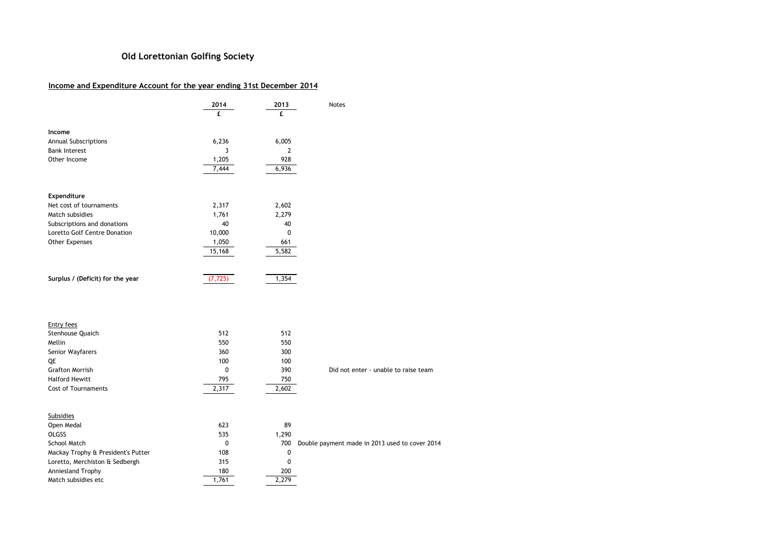## Old Lorettonian Golfing Society

## Income and Expenditure Account for the year ending 31st December 2014

|                                    | 2014<br>f.   | 2013<br>£    | Notes                                          |
|------------------------------------|--------------|--------------|------------------------------------------------|
| Income                             |              |              |                                                |
| Annual Subscriptions               | 6,236        | 6,005        |                                                |
| <b>Bank Interest</b>               | 3            | $\mathbf{2}$ |                                                |
| Other Income                       | 1,205        | 928          |                                                |
|                                    | 7,444        | 6,936        |                                                |
| Expenditure                        |              |              |                                                |
| Net cost of tournaments            | 2,317        | 2,602        |                                                |
| Match subsidies                    | 1,761        | 2,279        |                                                |
| Subscriptions and donations        | 40           | 40           |                                                |
| Loretto Golf Centre Donation       | 10,000       | 0            |                                                |
| Other Expenses                     | 1,050        | 661          |                                                |
|                                    | 15,168       | 5,582        |                                                |
| Surplus / (Deficit) for the year   | (7, 725)     | 1,354        |                                                |
| <b>Entry fees</b>                  |              |              |                                                |
| Stenhouse Quaich                   | 512          | 512          |                                                |
| Mellin                             | 550          | 550          |                                                |
| Senior Wayfarers                   | 360          | 300          |                                                |
| QE                                 | 100          | 100          |                                                |
| <b>Grafton Morrish</b>             | $\mathbf{0}$ | 390          | Did not enter - unable to raise team           |
| <b>Halford Hewitt</b>              | 795          | 750          |                                                |
| <b>Cost of Tournaments</b>         | 2,317        | 2,602        |                                                |
| <b>Subsidies</b>                   |              |              |                                                |
| Open Medal                         | 623          | 89           |                                                |
| <b>OLGSS</b>                       | 535          | 1,290        |                                                |
| <b>School Match</b>                | 0            | 700          | Double payment made in 2013 used to cover 2014 |
| Mackay Trophy & President's Putter | 108          | $\pmb{0}$    |                                                |
| Loretto, Merchiston & Sedbergh     | 315          | $\mathbf 0$  |                                                |
| Anniesland Trophy                  | 180          | 200          |                                                |
| Match subsidies etc                | 1,761        | 2,279        |                                                |
|                                    |              |              |                                                |